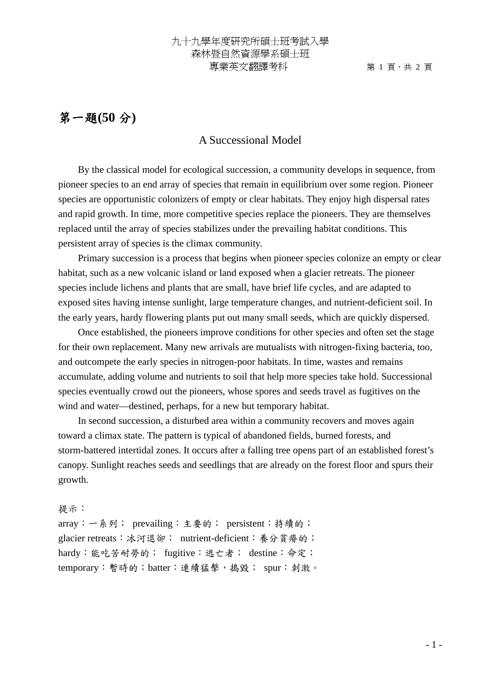## 第一題**(50** 分**)**

## A Successional Model

By the classical model for ecological succession, a community develops in sequence, from pioneer species to an end array of species that remain in equilibrium over some region. Pioneer species are opportunistic colonizers of empty or clear habitats. They enjoy high dispersal rates and rapid growth. In time, more competitive species replace the pioneers. They are themselves replaced until the array of species stabilizes under the prevailing habitat conditions. This persistent array of species is the climax community.

Primary succession is a process that begins when pioneer species colonize an empty or clear habitat, such as a new volcanic island or land exposed when a glacier retreats. The pioneer species include lichens and plants that are small, have brief life cycles, and are adapted to exposed sites having intense sunlight, large temperature changes, and nutrient-deficient soil. In the early years, hardy flowering plants put out many small seeds, which are quickly dispersed.

Once established, the pioneers improve conditions for other species and often set the stage for their own replacement. Many new arrivals are mutualists with nitrogen-fixing bacteria, too, and outcompete the early species in nitrogen-poor habitats. In time, wastes and remains accumulate, adding volume and nutrients to soil that help more species take hold. Successional species eventually crowd out the pioneers, whose spores and seeds travel as fugitives on the wind and water—destined, perhaps, for a new but temporary habitat.

In second succession, a disturbed area within a community recovers and moves again toward a climax state. The pattern is typical of abandoned fields, burned forests, and storm-battered intertidal zones. It occurs after a falling tree opens part of an established forest's canopy. Sunlight reaches seeds and seedlings that are already on the forest floor and spurs their growth.

提示: array:一系列; prevailing:主要的; persistent:持續的; glacier retreats:冰河退卻; nutrient-deficient:養分貧瘠的; hardy:能吃苦耐勞的; fugitive:逃亡者; destine:命定; temporary:暫時的;batter:連續猛擊,搗毀; spur:刺激。